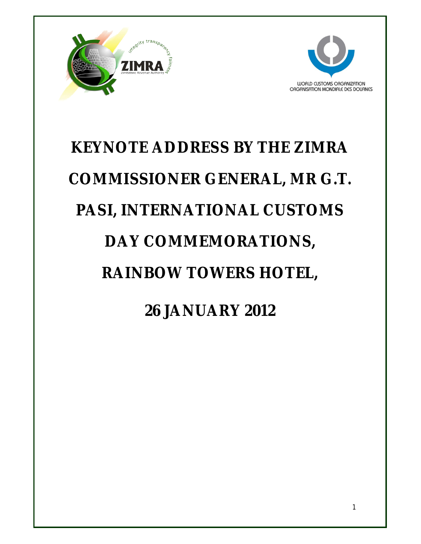



# **KEYNOTE ADDRESS BY THE ZIMRA COMMISSIONER GENERAL, MR G.T. PASI, INTERNATIONAL CUSTOMS DAY COMMEMORATIONS, RAINBOW TOWERS HOTEL, 26 JANUARY 2012**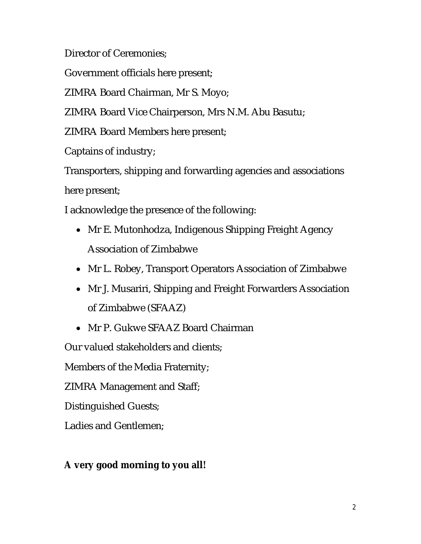Director of Ceremonies;

Government officials here present;

ZIMRA Board Chairman, Mr S. Moyo;

ZIMRA Board Vice Chairperson, Mrs N.M. Abu Basutu;

ZIMRA Board Members here present;

Captains of industry;

Transporters, shipping and forwarding agencies and associations here present;

I acknowledge the presence of the following:

- Mr E. Mutonhodza, Indigenous Shipping Freight Agency Association of Zimbabwe
- Mr L. Robey, Transport Operators Association of Zimbabwe
- Mr J. Musariri, Shipping and Freight Forwarders Association of Zimbabwe (SFAAZ)
- Mr P. Gukwe SFAAZ Board Chairman

Our valued stakeholders and clients;

Members of the Media Fraternity;

ZIMRA Management and Staff;

Distinguished Guests;

Ladies and Gentlemen;

# **A very good morning to you all!**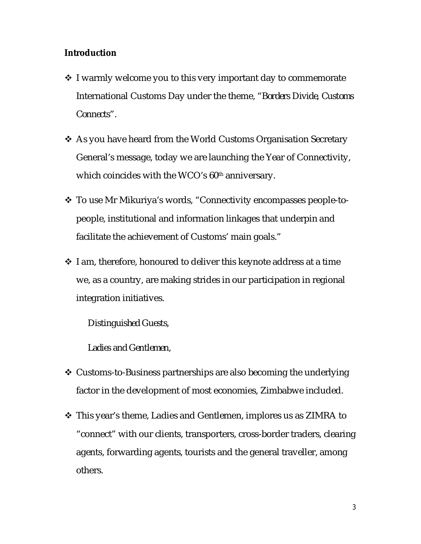#### **Introduction**

- ❖ I warmly welcome you to this very important day to commemorate International Customs Day under the theme, *"Borders Divide, Customs Connects".*
- ❖ As you have heard from the World Customs Organisation Secretary General's message, today we are launching the Year of Connectivity, which coincides with the WCO's 60<sup>th</sup> anniversary.
- To use Mr Mikuriya's words, "Connectivity encompasses people-topeople, institutional and information linkages that underpin and facilitate the achievement of Customs' main goals."
- $\cdot$  I am, therefore, honoured to deliver this keynote address at a time we, as a country, are making strides in our participation in regional integration initiatives.

*Distinguished Guests,*

*Ladies and Gentlemen,*

- ❖ Customs-to-Business partnerships are also becoming the underlying factor in the development of most economies, Zimbabwe included.
- This year's theme, Ladies and Gentlemen, implores us as ZIMRA to "connect" with our clients, transporters, cross-border traders, clearing agents, forwarding agents, tourists and the general traveller, among others*.*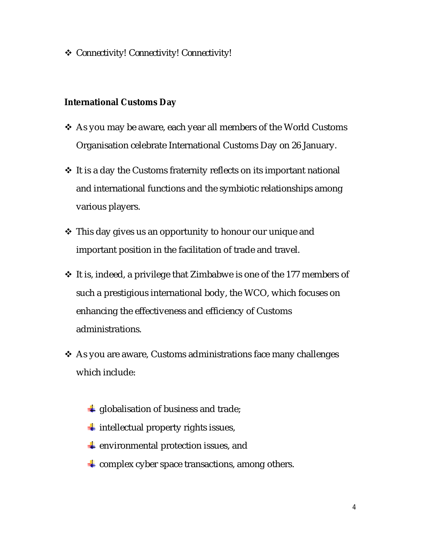*Connectivity! Connectivity! Connectivity!*

#### **International Customs Day**

- ❖ As you may be aware, each year all members of the World Customs Organisation celebrate International Customs Day on 26 January.
- ❖ It is a day the Customs fraternity reflects on its important national and international functions and the symbiotic relationships among various players.
- ❖ This day gives us an opportunity to honour our unique and important position in the facilitation of trade and travel.
- $\cdot$  It is, indeed, a privilege that Zimbabwe is one of the 177 members of such a prestigious international body, the WCO, which focuses on enhancing the effectiveness and efficiency of Customs administrations.
- ❖ As you are aware, Customs administrations face many challenges which include:
	- $\downarrow$  globalisation of business and trade;
	- $\frac{1}{\sqrt{2}}$  intellectual property rights issues,
	- $\triangleq$  environmental protection issues, and
	- $\div$  complex cyber space transactions, among others.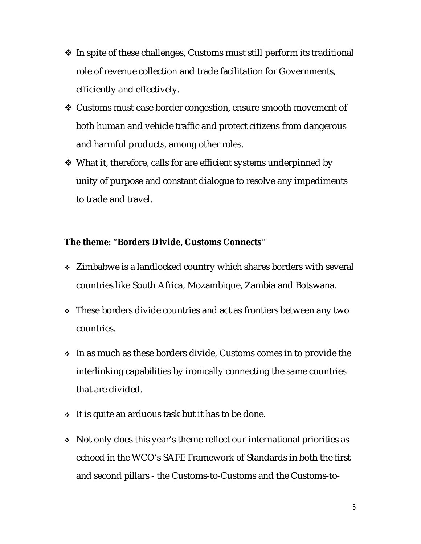- $\cdot$  In spite of these challenges, Customs must still perform its traditional role of revenue collection and trade facilitation for Governments, efficiently and effectively.
- Customs must ease border congestion, ensure smooth movement of both human and vehicle traffic and protect citizens from dangerous and harmful products, among other roles.
- $\cdot$  What it, therefore, calls for are efficient systems underpinned by unity of purpose and constant dialogue to resolve any impediments to trade and travel.

#### **The theme:** "**Borders Divide, Customs Connects**"

- Zimbabwe is a landlocked country which shares borders with several countries like South Africa, Mozambique, Zambia and Botswana.
- These borders divide countries and act as frontiers between any two countries.
- In as much as these borders divide, Customs comes in to provide the interlinking capabilities by ironically connecting the same countries that are divided.
- $\cdot$  It is quite an arduous task but it has to be done.
- Not only does this year's theme reflect our international priorities as echoed in the WCO's SAFE Framework of Standards in both the first and second pillars - the Customs-to-Customs and the Customs-to-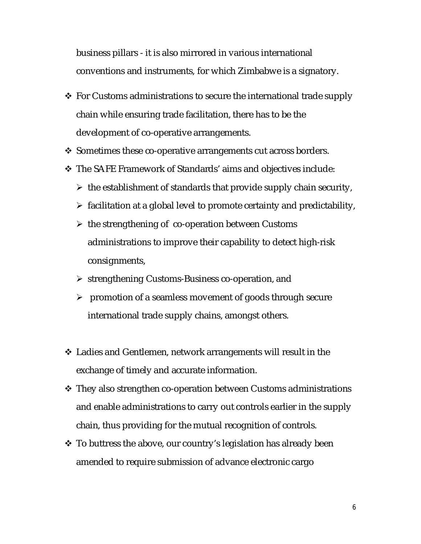business pillars - it is also mirrored in various international conventions and instruments, for which Zimbabwe is a signatory.

- ❖ For Customs administrations to secure the international trade supply chain while ensuring trade facilitation, there has to be the development of co-operative arrangements.
- $\cdot$  Sometimes these co-operative arrangements cut across borders.
- The SAFE Framework of Standards' aims and objectives include:
	- $\triangleright$  the establishment of standards that provide supply chain security,
	- $\triangleright$  facilitation at a global level to promote certainty and predictability,
	- $\triangleright$  the strengthening of co-operation between Customs administrations to improve their capability to detect high-risk consignments,
	- $\triangleright$  strengthening Customs-Business co-operation, and
	- $\triangleright$  promotion of a seamless movement of goods through secure international trade supply chains, amongst others.
- Ladies and Gentlemen, network arrangements will result in the exchange of timely and accurate information.
- They also strengthen co-operation between Customs administrations and enable administrations to carry out controls earlier in the supply chain, thus providing for the mutual recognition of controls.
- $\cdot$  To buttress the above, our country's legislation has already been amended to require submission of advance electronic cargo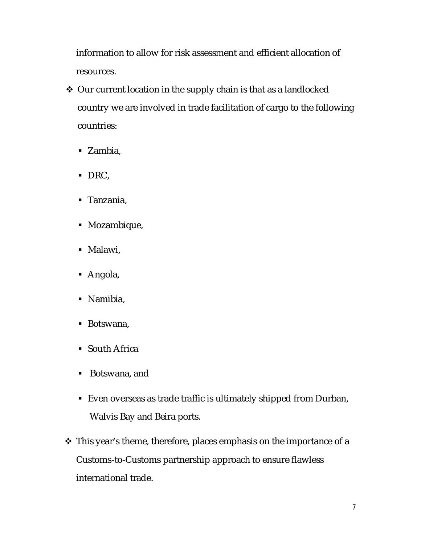information to allow for risk assessment and efficient allocation of resources.

- ◆ Our current location in the supply chain is that as a landlocked country we are involved in trade facilitation of cargo to the following countries:
	- Zambia,
	- DRC,
	- Tanzania,
	- Mozambique,
	- Malawi,
	- Angola,
	- Namibia,
	- Botswana,
	- South Africa
	- Botswana, and
	- Even overseas as trade traffic is ultimately shipped from Durban, Walvis Bay and Beira ports.
- This year's theme, therefore, places emphasis on the importance of a Customs-to-Customs partnership approach to ensure flawless international trade.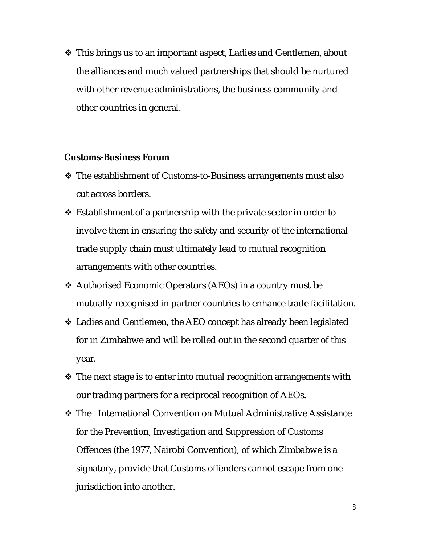❖ This brings us to an important aspect, Ladies and Gentlemen, about the alliances and much valued partnerships that should be nurtured with other revenue administrations, the business community and other countries in general.

#### **Customs-Business Forum**

- ❖ The establishment of Customs-to-Business arrangements must also cut across borders.
- $\triangle$  Establishment of a partnership with the private sector in order to involve them in ensuring the safety and security of the international trade supply chain must ultimately lead to mutual recognition arrangements with other countries.
- Authorised Economic Operators (AEOs) in a country must be mutually recognised in partner countries to enhance trade facilitation.
- Ladies and Gentlemen, the AEO concept has already been legislated for in Zimbabwe and will be rolled out in the second quarter of this year.
- $\clubsuit$  The next stage is to enter into mutual recognition arrangements with our trading partners for a reciprocal recognition of AEOs.
- The International Convention on Mutual Administrative Assistance for the Prevention, Investigation and Suppression of Customs Offences (the 1977, Nairobi Convention), of which Zimbabwe is a signatory, provide that Customs offenders cannot escape from one jurisdiction into another.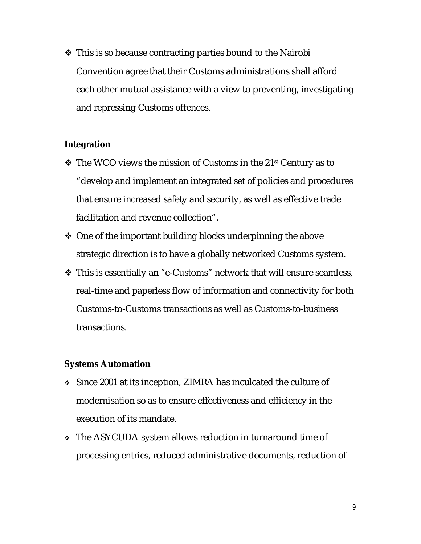$\cdot$  This is so because contracting parties bound to the Nairobi Convention agree that their Customs administrations shall afford each other mutual assistance with a view to preventing, investigating and repressing Customs offences.

#### **Integration**

- $\cdot$  The WCO views the mission of Customs in the 21st Century as to "develop and implement an integrated set of policies and procedures that ensure increased safety and security, as well as effective trade facilitation and revenue collection".
- $\triangle$  One of the important building blocks underpinning the above strategic direction is to have a globally networked Customs system.
- $\triangle$  This is essentially an "e-Customs" network that will ensure seamless, real-time and paperless flow of information and connectivity for both Customs-to-Customs transactions as well as Customs-to-business transactions.

#### **Systems Automation**

- Since 2001 at its inception, ZIMRA has inculcated the culture of modernisation so as to ensure effectiveness and efficiency in the execution of its mandate.
- The ASYCUDA system allows reduction in turnaround time of processing entries, reduced administrative documents, reduction of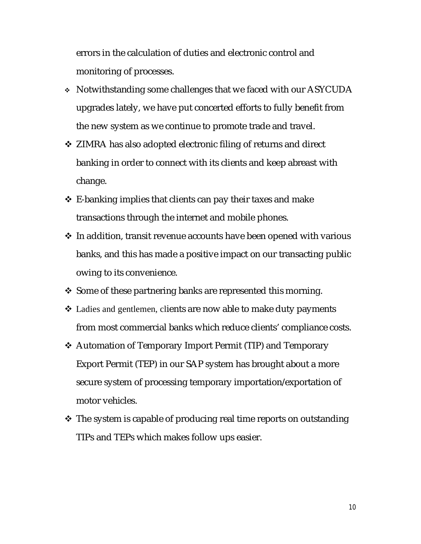errors in the calculation of duties and electronic control and monitoring of processes.

- Notwithstanding some challenges that we faced with our ASYCUDA upgrades lately, we have put concerted efforts to fully benefit from the new system as we continue to promote trade and travel.
- ❖ ZIMRA has also adopted electronic filing of returns and direct banking in order to connect with its clients and keep abreast with change.
- $\triangle$  E-banking implies that clients can pay their taxes and make transactions through the internet and mobile phones.
- $\cdot$  In addition, transit revenue accounts have been opened with various banks, and this has made a positive impact on our transacting public owing to its convenience.
- $\cdot$  Some of these partnering banks are represented this morning.
- Ladies and gentlemen, clients are now able to make duty payments from most commercial banks which reduce clients' compliance costs.
- ◆ Automation of Temporary Import Permit (TIP) and Temporary Export Permit (TEP) in our SAP system has brought about a more secure system of processing temporary importation/exportation of motor vehicles.
- $\cdot$  The system is capable of producing real time reports on outstanding TIPs and TEPs which makes follow ups easier.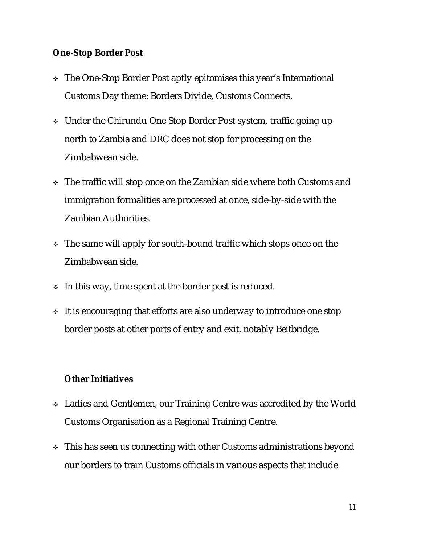#### **One-Stop Border Post**

- The One-Stop Border Post aptly epitomises this year's International Customs Day theme: Borders Divide, Customs Connects.
- Under the Chirundu One Stop Border Post system, traffic going up north to Zambia and DRC does not stop for processing on the Zimbabwean side.
- The traffic will stop once on the Zambian side where both Customs and immigration formalities are processed at once, side-by-side with the Zambian Authorities.
- The same will apply for south-bound traffic which stops once on the Zimbabwean side.
- In this way, time spent at the border post is reduced.
- It is encouraging that efforts are also underway to introduce one stop border posts at other ports of entry and exit, notably Beitbridge.

### **Other Initiatives**

- Ladies and Gentlemen, our Training Centre was accredited by the World Customs Organisation as a Regional Training Centre.
- This has seen us connecting with other Customs administrations beyond our borders to train Customs officials in various aspects that include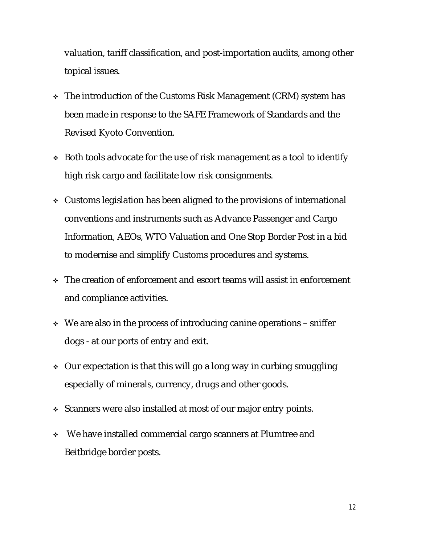valuation, tariff classification, and post-importation audits, among other topical issues.

- The introduction of the Customs Risk Management (CRM) system has been made in response to the SAFE Framework of Standards and the Revised Kyoto Convention.
- Both tools advocate for the use of risk management as a tool to identify high risk cargo and facilitate low risk consignments.
- Customs legislation has been aligned to the provisions of international conventions and instruments such as Advance Passenger and Cargo Information, AEOs, WTO Valuation and One Stop Border Post in a bid to modernise and simplify Customs procedures and systems.
- $\cdot$  The creation of enforcement and escort teams will assist in enforcement and compliance activities.
- $\cdot$  We are also in the process of introducing canine operations sniffer dogs - at our ports of entry and exit.
- Our expectation is that this will go a long way in curbing smuggling especially of minerals, currency, drugs and other goods.
- Scanners were also installed at most of our major entry points.
- We have installed commercial cargo scanners at Plumtree and Beitbridge border posts.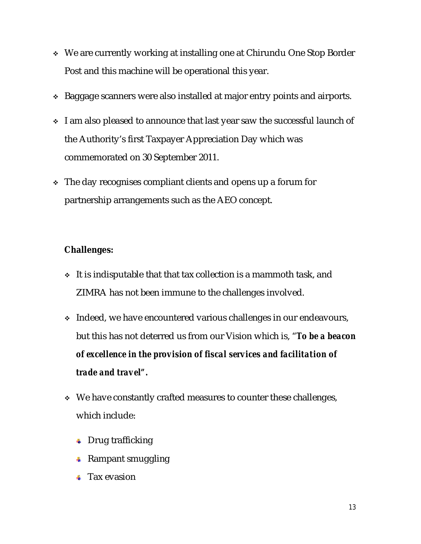- We are currently working at installing one at Chirundu One Stop Border Post and this machine will be operational this year.
- ◆ Baggage scanners were also installed at major entry points and airports.
- \* I am also pleased to announce that last year saw the successful launch of the Authority's first Taxpayer Appreciation Day which was commemorated on 30 September 2011.
- $\cdot$  The day recognises compliant clients and opens up a forum for partnership arrangements such as the AEO concept.

# **Challenges:**

- $\cdot$  It is indisputable that that tax collection is a mammoth task, and ZIMRA has not been immune to the challenges involved.
- Indeed, we have encountered various challenges in our endeavours, but this has not deterred us from our Vision which is, "*To be a beacon of excellence in the provision of fiscal services and facilitation of trade and travel".*
- $\cdot$  We have constantly crafted measures to counter these challenges, which include:
	- $\leftarrow$  Drug trafficking
	- $\leftarrow$  Rampant smuggling
	- $\overline{\phantom{a}}$  Tax evasion